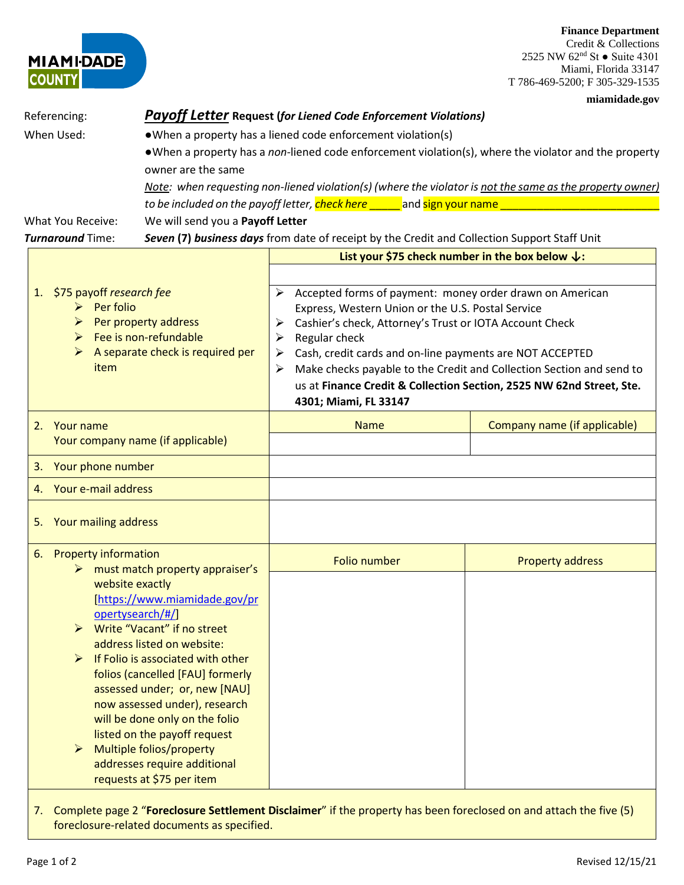## **Finance Department**

Credit & Collections 2525 NW  $62<sup>nd</sup>$  St  $\bullet$  Suite 4301 Miami, Florida 33147 T 786-469-5200; F 305-329-1535

|                                                                                                                                                      |                                                                                                                                                                                                                                                                                                                                                                                                                                                         |                                                                                                                                                                                                                                                                                                                                                                                                                                                         | miamidade.gov                |  |
|------------------------------------------------------------------------------------------------------------------------------------------------------|---------------------------------------------------------------------------------------------------------------------------------------------------------------------------------------------------------------------------------------------------------------------------------------------------------------------------------------------------------------------------------------------------------------------------------------------------------|---------------------------------------------------------------------------------------------------------------------------------------------------------------------------------------------------------------------------------------------------------------------------------------------------------------------------------------------------------------------------------------------------------------------------------------------------------|------------------------------|--|
| Referencing:                                                                                                                                         |                                                                                                                                                                                                                                                                                                                                                                                                                                                         | <b>Payoff Letter Request (for Liened Code Enforcement Violations)</b>                                                                                                                                                                                                                                                                                                                                                                                   |                              |  |
| When Used:                                                                                                                                           | owner are the same                                                                                                                                                                                                                                                                                                                                                                                                                                      | • When a property has a liened code enforcement violation(s)<br>• When a property has a non-liened code enforcement violation(s), where the violator and the property                                                                                                                                                                                                                                                                                   |                              |  |
|                                                                                                                                                      |                                                                                                                                                                                                                                                                                                                                                                                                                                                         | Note: when requesting non-liened violation(s) (where the violator is not the same as the property owner)                                                                                                                                                                                                                                                                                                                                                |                              |  |
|                                                                                                                                                      |                                                                                                                                                                                                                                                                                                                                                                                                                                                         | to be included on the payoff letter, check here and sign your name                                                                                                                                                                                                                                                                                                                                                                                      |                              |  |
| We will send you a Payoff Letter<br><b>What You Receive:</b>                                                                                         |                                                                                                                                                                                                                                                                                                                                                                                                                                                         |                                                                                                                                                                                                                                                                                                                                                                                                                                                         |                              |  |
| <b>Turnaround Time:</b>                                                                                                                              |                                                                                                                                                                                                                                                                                                                                                                                                                                                         | Seven (7) business days from date of receipt by the Credit and Collection Support Staff Unit                                                                                                                                                                                                                                                                                                                                                            |                              |  |
|                                                                                                                                                      |                                                                                                                                                                                                                                                                                                                                                                                                                                                         | List your \$75 check number in the box below $\downarrow$ :                                                                                                                                                                                                                                                                                                                                                                                             |                              |  |
| 1. \$75 payoff research fee<br>Per folio<br>➤<br>Per property address<br>⋗<br>Fee is non-refundable<br>➤<br>A separate check is required per<br>item |                                                                                                                                                                                                                                                                                                                                                                                                                                                         | Accepted forms of payment: money order drawn on American<br>➤<br>Express, Western Union or the U.S. Postal Service<br>Cashier's check, Attorney's Trust or IOTA Account Check<br>➤<br>Regular check<br>➤<br>Cash, credit cards and on-line payments are NOT ACCEPTED<br>➤<br>Make checks payable to the Credit and Collection Section and send to<br>➤<br>us at Finance Credit & Collection Section, 2525 NW 62nd Street, Ste.<br>4301; Miami, FL 33147 |                              |  |
| 2. Your name                                                                                                                                         | Your company name (if applicable)                                                                                                                                                                                                                                                                                                                                                                                                                       | <b>Name</b>                                                                                                                                                                                                                                                                                                                                                                                                                                             | Company name (if applicable) |  |
|                                                                                                                                                      |                                                                                                                                                                                                                                                                                                                                                                                                                                                         |                                                                                                                                                                                                                                                                                                                                                                                                                                                         |                              |  |
| 3. Your phone number                                                                                                                                 |                                                                                                                                                                                                                                                                                                                                                                                                                                                         |                                                                                                                                                                                                                                                                                                                                                                                                                                                         |                              |  |
| 4. Your e-mail address                                                                                                                               |                                                                                                                                                                                                                                                                                                                                                                                                                                                         |                                                                                                                                                                                                                                                                                                                                                                                                                                                         |                              |  |
| 5. Your mailing address                                                                                                                              |                                                                                                                                                                                                                                                                                                                                                                                                                                                         |                                                                                                                                                                                                                                                                                                                                                                                                                                                         |                              |  |
| <b>Property information</b><br>6.<br>➤<br>website exactly<br>$\triangleright$<br>➤<br>➤                                                              | must match property appraiser's<br>[https://www.miamidade.gov/pr<br>opertysearch/#/]<br>Write "Vacant" if no street<br>address listed on website:<br>If Folio is associated with other<br>folios (cancelled [FAU] formerly<br>assessed under; or, new [NAU]<br>now assessed under), research<br>will be done only on the folio<br>listed on the payoff request<br>Multiple folios/property<br>addresses require additional<br>requests at \$75 per item | <b>Folio number</b>                                                                                                                                                                                                                                                                                                                                                                                                                                     | <b>Property address</b>      |  |

7. Complete page 2 "**Foreclosure Settlement Disclaimer**" if the property has been foreclosed on and attach the five (5) foreclosure-related documents as specified.

**MIAMI-DADE** 

**COUNTY**